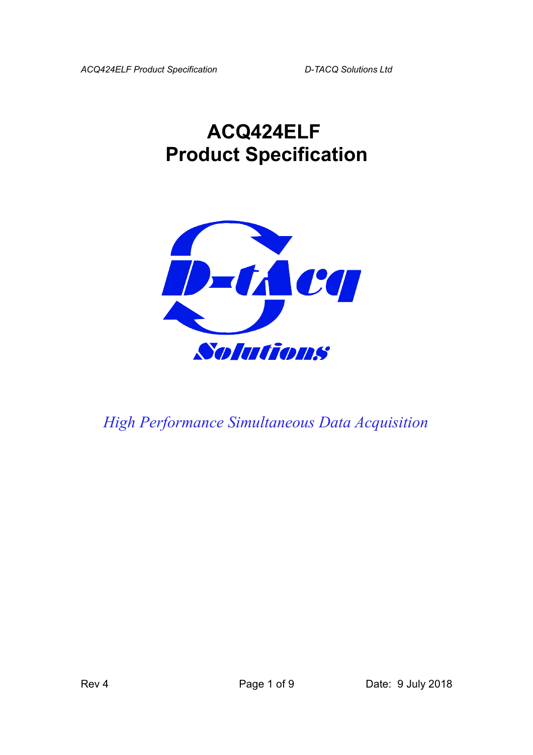# **ACQ424ELF Product Specification**



*High Performance Simultaneous Data Acquisition*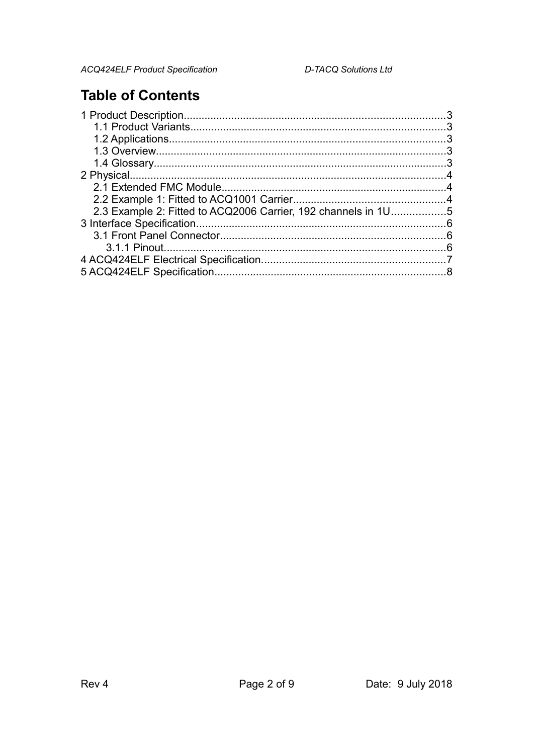### **Table of Contents**

| 2.3 Example 2: Fitted to ACQ2006 Carrier, 192 channels in 1U5 |  |
|---------------------------------------------------------------|--|
|                                                               |  |
|                                                               |  |
|                                                               |  |
|                                                               |  |
|                                                               |  |
|                                                               |  |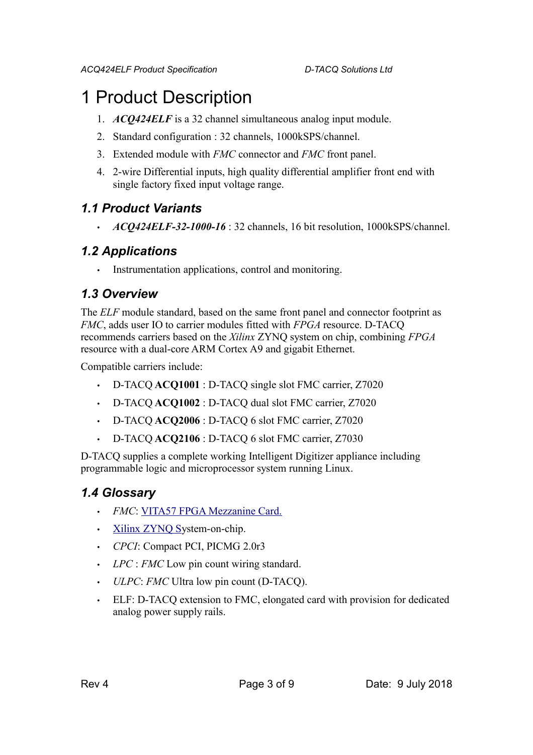## 1 Product Description

- 1. *ACQ424ELF* is a 32 channel simultaneous analog input module.
- 2. Standard configuration : 32 channels, 1000kSPS/channel.
- 3. Extended module with *FMC* connector and *FMC* front panel.
- 4. 2-wire Differential inputs, high quality differential amplifier front end with single factory fixed input voltage range.

### *1.1 Product Variants*

• *ACQ424ELF-32-1000-16* : 32 channels, 16 bit resolution, 1000kSPS/channel.

### *1.2 Applications*

Instrumentation applications, control and monitoring.

### *1.3 Overview*

The *ELF* module standard, based on the same front panel and connector footprint as *FMC*, adds user IO to carrier modules fitted with *FPGA* resource. D-TACQ recommends carriers based on the *Xilinx* ZYNQ system on chip, combining *FPGA* resource with a dual-core ARM Cortex A9 and gigabit Ethernet.

Compatible carriers include:

- D-TACQ **ACQ1001** : D-TACQ single slot FMC carrier, Z7020
- D-TACQ **ACQ1002** : D-TACQ dual slot FMC carrier, Z7020
- D-TACQ **ACQ2006** : D-TACQ 6 slot FMC carrier, Z7020
- D-TACQ **ACQ2106** : D-TACQ 6 slot FMC carrier, Z7030

D-TACQ supplies a complete working Intelligent Digitizer appliance including programmable logic and microprocessor system running Linux.

### *1.4 Glossary*

- *FMC*: [VITA57 FPGA Mezzanine Card.](http://www.vita.com/fmc.html)
- [Xilinx ZYNQ Sy](http://www.xilinx.com/products/silicon-devices/soc/zynq-7000/index.htm)stem-on-chip.
- *CPCI*: Compact PCI, PICMG 2.0r3
- *LPC* : *FMC* Low pin count wiring standard.
- *ULPC*: *FMC* Ultra low pin count (D-TACQ).
- ELF: D-TACQ extension to FMC, elongated card with provision for dedicated analog power supply rails.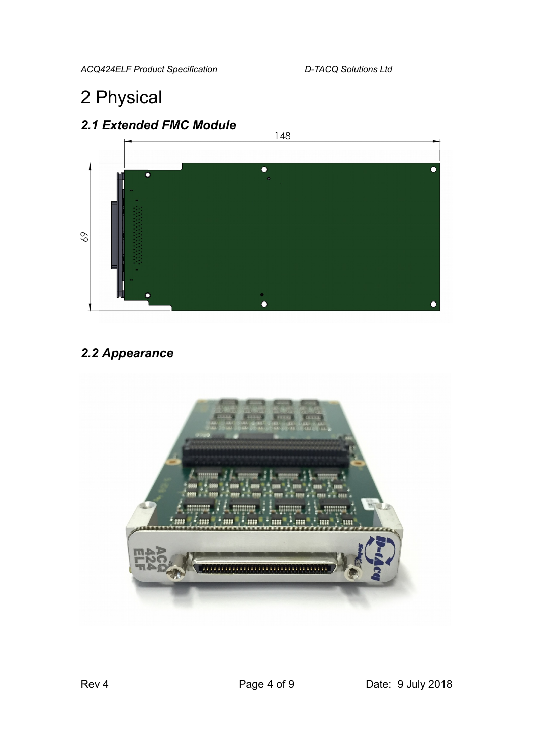*ACQ424ELF Product Specification D-TACQ Solutions Ltd* 

# 2 Physical





### *2.2 Appearance*

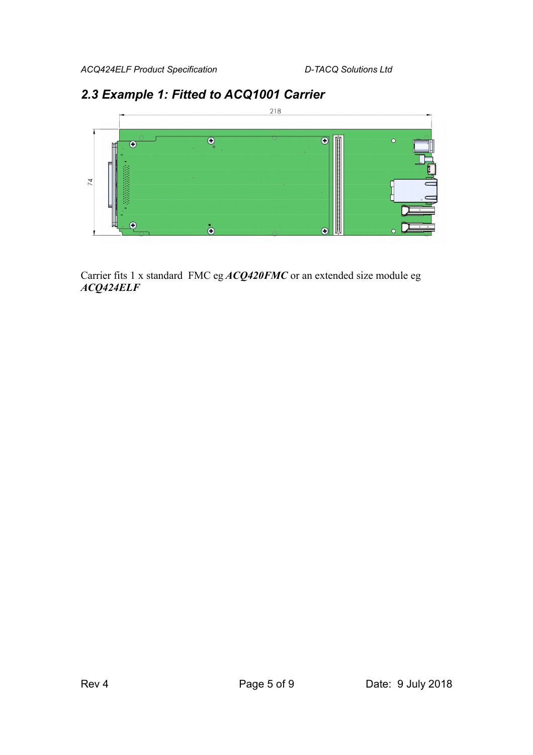# $218$  $\overline{\mathbf{\Theta}}$  $\overline{\textbf{c}}$  $\overline{\odot}$ 74  $\dot{\mathbf{\Theta}}$

### *2.3 Example 1: Fitted to ACQ1001 Carrier*

Carrier fits 1 x standard FMC eg *ACQ420FMC* or an extended size module eg *ACQ424ELF*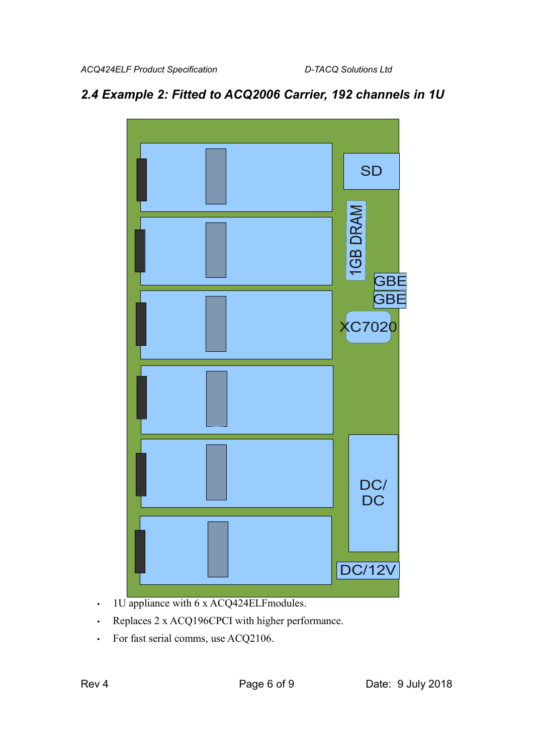### *2.4 Example 2: Fitted to ACQ2006 Carrier, 192 channels in 1U*



- 1U appliance with 6 x ACQ424ELFmodules.
- Replaces 2 x ACQ196CPCI with higher performance.
- For fast serial comms, use ACQ2106.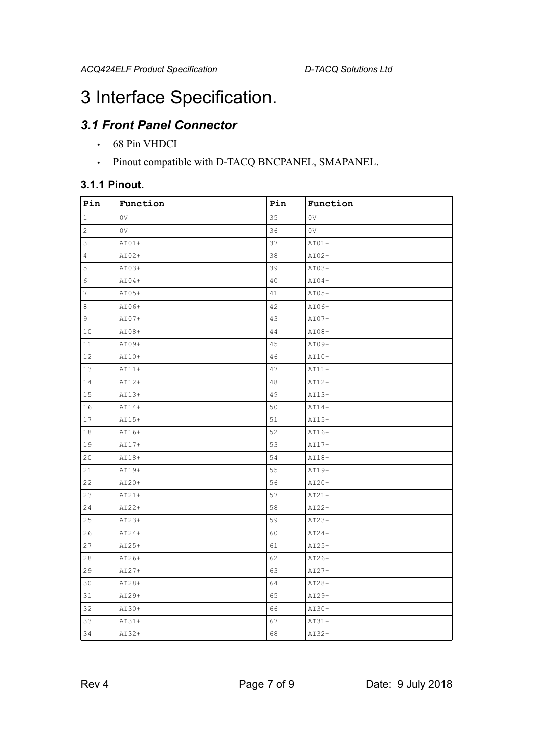### 3 Interface Specification.

### *3.1 Front Panel Connector*

- 68 Pin VHDCI
- Pinout compatible with D-TACQ BNCPANEL, SMAPANEL.

#### **3.1.1 Pinout.**

| Pin            | Function       | Pin | Function       |
|----------------|----------------|-----|----------------|
| 1              | 0 <sub>V</sub> | 35  | 0V             |
| $\overline{c}$ | 0 <sub>V</sub> | 36  | 0 <sub>V</sub> |
| 3              | $AIO1+$        | 37  | $AIO1-$        |
| 4              | $AIO2+$        | 38  | $AI02-$        |
| 5              | AI03+          | 39  | $AIO3-$        |
| 6              | $AIO4+$        | 40  | $AI04-$        |
| $\overline{7}$ | $AIO5+$        | 41  | $AI05-$        |
| 8              | AI06+          | 42  | $AI06-$        |
| 9              | AI07+          | 43  | $AI07-$        |
| 10             | AI08+          | 44  | $AIO8-$        |
| 11             | AI09+          | 45  | AI09-          |
| 12             | AI10+          | 46  | $AI10-$        |
| 13             | AI11+          | 47  | $AI11-$        |
| 14             | $AI12+$        | 48  | $AI12-$        |
| 15             | $AI13+$        | 49  | $AI13-$        |
| 16             | $AII4+$        | 50  | $AII4-$        |
| 17             | $AI15+$        | 51  | $AI15-$        |
| 18             | AI16+          | 52  | AI16-          |
| 19             | AI17+          | 53  | $AI17-$        |
| 20             | AI18+          | 54  | $AI18-$        |
| 21             | AI19+          | 55  | AI19-          |
| 22             | $AIO+$         | 56  | $AI20-$        |
| 23             | $A121+$        | 57  | $AI21-$        |
| 24             | AI22+          | 58  | $AI22-$        |
| 25             | $A123+$        | 59  | $AI23-$        |
| 26             | $AIO4+$        | 60  | $AIO4-$        |
| 27             | $AI25+$        | 61  | $AI25-$        |
| 28             | AI26+          | 62  | AI26-          |
| 29             | $AIO7+$        | 63  | $AI27-$        |
| 30             | AI28+          | 64  | $AIO8-$        |
| 31             | AI29+          | 65  | $AI29-$        |
| 32             | AI30+          | 66  | $AIO-$         |
| 33             | AI31+          | 67  | $AI31-$        |
| 34             | AI32+          | 68  | $AI32-$        |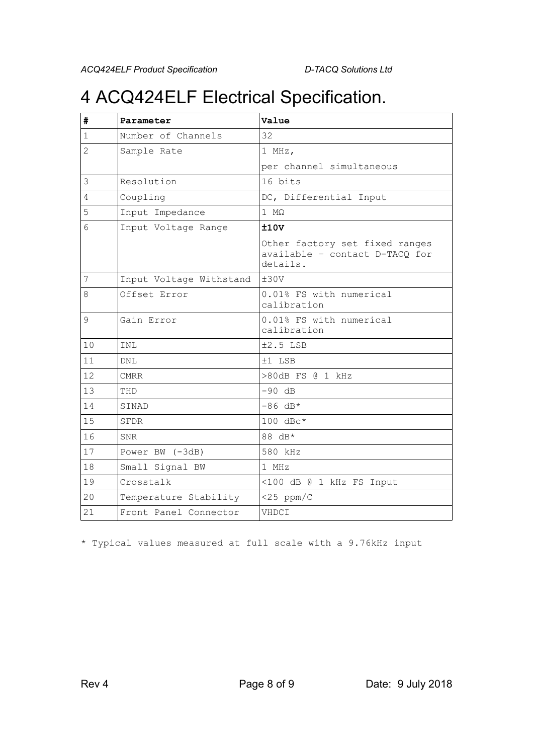# 4 ACQ424ELF Electrical Specification.

| #              | Parameter               | Value                                                                        |  |
|----------------|-------------------------|------------------------------------------------------------------------------|--|
| $\mathbf{1}$   | Number of Channels      | 32                                                                           |  |
| $\overline{2}$ | Sample Rate             | 1 MHz,                                                                       |  |
|                |                         | per channel simultaneous                                                     |  |
| 3              | Resolution              | 16 bits                                                                      |  |
| 4              | Coupling                | DC, Differential Input                                                       |  |
| 5              | Input Impedance         | $1 \text{ M}\Omega$                                                          |  |
| 6              | Input Voltage Range     | ±10V                                                                         |  |
|                |                         | Other factory set fixed ranges<br>available - contact D-TACQ for<br>details. |  |
| 7              | Input Voltage Withstand | ±30V                                                                         |  |
| 8              | Offset Error            | 0.01% FS with numerical<br>calibration                                       |  |
| 9              | Gain Error              | 0.01% FS with numerical<br>calibration                                       |  |
| 10             | INL                     | $±2.5$ LSB                                                                   |  |
| 11             | <b>DNL</b>              | $±1$ LSB                                                                     |  |
| 12             | <b>CMRR</b>             | >80dB FS @ 1 kHz                                                             |  |
| 13             | THD                     | $-90$ dB                                                                     |  |
| 14             | SINAD                   | $-86$ dB*                                                                    |  |
| 15             | SFDR                    | $100 \text{ dBc}$ *                                                          |  |
| 16             | <b>SNR</b>              | 88 dB*                                                                       |  |
| 17             | Power BW (-3dB)         | 580 kHz                                                                      |  |
| 18             | Small Signal BW         | $1$ MHz                                                                      |  |
| 19             | Crosstalk               | <100 dB @ 1 kHz FS Input                                                     |  |
| 20             | Temperature Stability   | $<$ 25 ppm/C                                                                 |  |
| 21             | Front Panel Connector   | VHDCI                                                                        |  |

\* Typical values measured at full scale with a 9.76kHz input